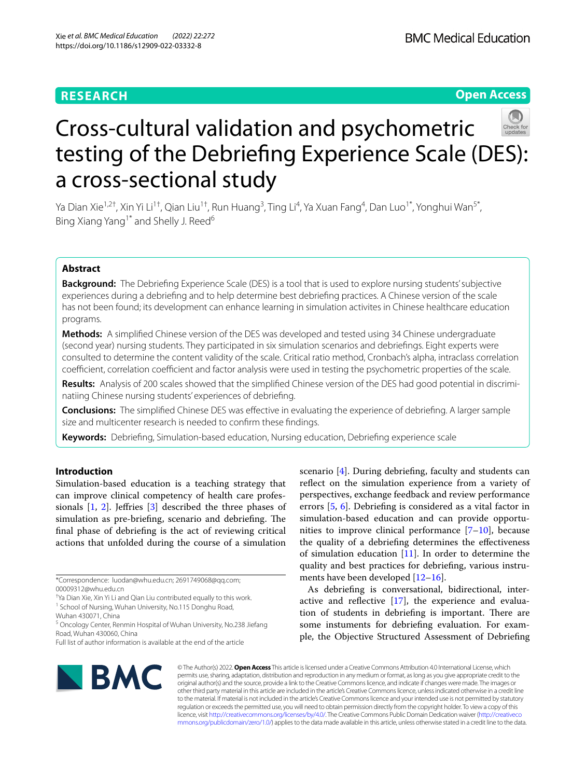## **RESEARCH**

**Open Access**

# Cross-cultural validation and psychometric testing of the Debriefng Experience Scale (DES): a cross-sectional study

Ya Dian Xie<sup>1,2†</sup>, Xin Yi Li<sup>1†</sup>, Qian Liu<sup>1†</sup>, Run Huang<sup>3</sup>, Ting Li<sup>4</sup>, Ya Xuan Fang<sup>4</sup>, Dan Luo<sup>1\*</sup>, Yonghui Wan<sup>5\*</sup>, Bing Xiang Yang<sup>1\*</sup> and Shelly J. Reed<sup>6</sup>

## **Abstract**

**Background:** The Debriefng Experience Scale (DES) is a tool that is used to explore nursing students' subjective experiences during a debriefng and to help determine best debriefng practices. A Chinese version of the scale has not been found; its development can enhance learning in simulation activites in Chinese healthcare education programs.

**Methods:** A simplifed Chinese version of the DES was developed and tested using 34 Chinese undergraduate (second year) nursing students. They participated in six simulation scenarios and debriefngs. Eight experts were consulted to determine the content validity of the scale. Critical ratio method, Cronbach's alpha, intraclass correlation coefficient, correlation coefficient and factor analysis were used in testing the psychometric properties of the scale.

**Results:** Analysis of 200 scales showed that the simplifed Chinese version of the DES had good potential in discriminatiing Chinese nursing students' experiences of debriefng.

**Conclusions:** The simplifed Chinese DES was efective in evaluating the experience of debriefng. A larger sample size and multicenter research is needed to confrm these fndings.

**Keywords:** Debriefng, Simulation-based education, Nursing education, Debriefng experience scale

## **Introduction**

Simulation-based education is a teaching strategy that can improve clinical competency of health care professionals [[1,](#page-7-0) [2\]](#page-7-1). Jefries [[3\]](#page-7-2) described the three phases of simulation as pre-briefing, scenario and debriefing. The fnal phase of debriefng is the act of reviewing critical actions that unfolded during the course of a simulation

\*Correspondence: luodan@whu.edu.cn; 2691749068@qq.com; 00009312@whu.edu.cn

† Ya Dian Xie, Xin Yi Li and Qian Liu contributed equally to this work.

<sup>1</sup> School of Nursing, Wuhan University, No.115 Donghu Road,

Wuhan 430071, China

<sup>5</sup> Oncology Center, Renmin Hospital of Wuhan University, No.238 Jiefang Road, Wuhan 430060, China

scenario [\[4](#page-7-3)]. During debriefng, faculty and students can refect on the simulation experience from a variety of perspectives, exchange feedback and review performance errors [[5,](#page-7-4) [6\]](#page-7-5). Debriefng is considered as a vital factor in simulation-based education and can provide opportunities to improve clinical performance  $[7-10]$  $[7-10]$  $[7-10]$ , because the quality of a debriefng determines the efectiveness of simulation education [[11\]](#page-8-1). In order to determine the quality and best practices for debriefng, various instruments have been developed [[12–](#page-8-2)[16](#page-8-3)].

As debriefng is conversational, bidirectional, interactive and reflective  $[17]$  $[17]$ , the experience and evaluation of students in debriefing is important. There are some instuments for debriefng evaluation. For example, the Objective Structured Assessment of Debriefng



© The Author(s) 2022. **Open Access** This article is licensed under a Creative Commons Attribution 4.0 International License, which permits use, sharing, adaptation, distribution and reproduction in any medium or format, as long as you give appropriate credit to the original author(s) and the source, provide a link to the Creative Commons licence, and indicate if changes were made. The images or other third party material in this article are included in the article's Creative Commons licence, unless indicated otherwise in a credit line to the material. If material is not included in the article's Creative Commons licence and your intended use is not permitted by statutory regulation or exceeds the permitted use, you will need to obtain permission directly from the copyright holder. To view a copy of this licence, visit [http://creativecommons.org/licenses/by/4.0/.](http://creativecommons.org/licenses/by/4.0/) The Creative Commons Public Domain Dedication waiver ([http://creativeco](http://creativecommons.org/publicdomain/zero/1.0/) [mmons.org/publicdomain/zero/1.0/](http://creativecommons.org/publicdomain/zero/1.0/)) applies to the data made available in this article, unless otherwise stated in a credit line to the data.

Full list of author information is available at the end of the article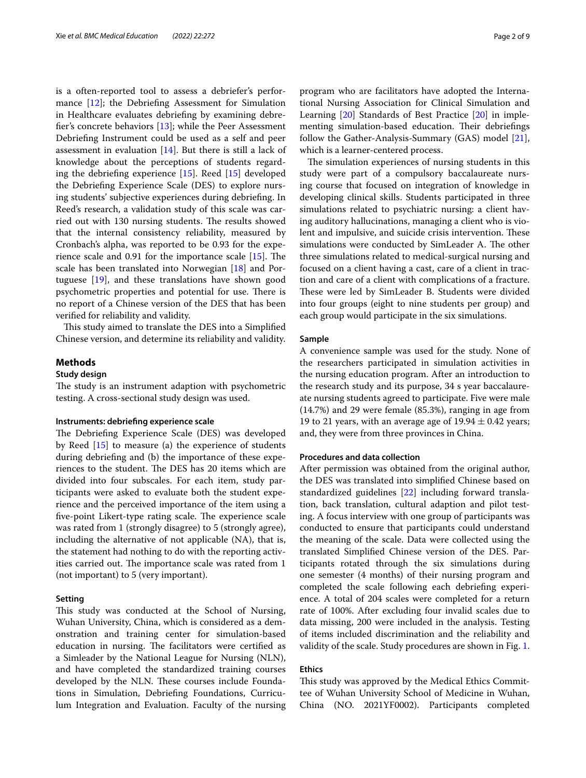is a often-reported tool to assess a debriefer's performance [\[12](#page-8-2)]; the Debriefng Assessment for Simulation in Healthcare evaluates debriefng by examining debrefer's concrete behaviors [\[13](#page-8-5)]; while the Peer Assessment Debriefng Instrument could be used as a self and peer assessment in evaluation [\[14\]](#page-8-6). But there is still a lack of knowledge about the perceptions of students regarding the debriefng experience [[15\]](#page-8-7). Reed [\[15\]](#page-8-7) developed the Debriefng Experience Scale (DES) to explore nursing students' subjective experiences during debriefng. In Reed's research, a validation study of this scale was carried out with 130 nursing students. The results showed that the internal consistency reliability, measured by Cronbach's alpha, was reported to be 0.93 for the experience scale and  $0.91$  for the importance scale  $[15]$  $[15]$ . The scale has been translated into Norwegian [[18](#page-8-8)] and Portuguese [\[19\]](#page-8-9), and these translations have shown good psychometric properties and potential for use. There is no report of a Chinese version of the DES that has been verifed for reliability and validity.

This study aimed to translate the DES into a Simplified Chinese version, and determine its reliability and validity.

#### **Methods**

## **Study design**

The study is an instrument adaption with psychometric testing. A cross-sectional study design was used.

## **Instruments: debriefng experience scale**

The Debriefing Experience Scale (DES) was developed by Reed [[15](#page-8-7)] to measure (a) the experience of students during debriefng and (b) the importance of these experiences to the student. The DES has 20 items which are divided into four subscales. For each item, study participants were asked to evaluate both the student experience and the perceived importance of the item using a five-point Likert-type rating scale. The experience scale was rated from 1 (strongly disagree) to 5 (strongly agree), including the alternative of not applicable (NA), that is, the statement had nothing to do with the reporting activities carried out. The importance scale was rated from 1 (not important) to 5 (very important).

## **Setting**

This study was conducted at the School of Nursing, Wuhan University, China, which is considered as a demonstration and training center for simulation-based education in nursing. The facilitators were certified as a Simleader by the National League for Nursing (NLN), and have completed the standardized training courses developed by the NLN. These courses include Foundations in Simulation, Debriefng Foundations, Curriculum Integration and Evaluation. Faculty of the nursing program who are facilitators have adopted the International Nursing Association for Clinical Simulation and Learning [\[20](#page-8-10)] Standards of Best Practice [\[20](#page-8-10)] in implementing simulation-based education. Their debriefings follow the Gather-Analysis-Summary (GAS) model [\[21](#page-8-11)], which is a learner-centered process.

The simulation experiences of nursing students in this study were part of a compulsory baccalaureate nursing course that focused on integration of knowledge in developing clinical skills. Students participated in three simulations related to psychiatric nursing: a client having auditory hallucinations, managing a client who is violent and impulsive, and suicide crisis intervention. These simulations were conducted by SimLeader A. The other three simulations related to medical-surgical nursing and focused on a client having a cast, care of a client in traction and care of a client with complications of a fracture. These were led by SimLeader B. Students were divided into four groups (eight to nine students per group) and each group would participate in the six simulations.

## **Sample**

A convenience sample was used for the study. None of the researchers participated in simulation activities in the nursing education program. After an introduction to the research study and its purpose, 34 s year baccalaureate nursing students agreed to participate. Five were male (14.7%) and 29 were female (85.3%), ranging in age from 19 to 21 years, with an average age of  $19.94 \pm 0.42$  years; and, they were from three provinces in China.

## **Procedures and data collection**

After permission was obtained from the original author, the DES was translated into simplifed Chinese based on standardized guidelines [[22](#page-8-12)] including forward translation, back translation, cultural adaption and pilot testing. A focus interview with one group of participants was conducted to ensure that participants could understand the meaning of the scale. Data were collected using the translated Simplifed Chinese version of the DES. Participants rotated through the six simulations during one semester (4 months) of their nursing program and completed the scale following each debriefng experience. A total of 204 scales were completed for a return rate of 100%. After excluding four invalid scales due to data missing, 200 were included in the analysis. Testing of items included discrimination and the reliability and validity of the scale. Study procedures are shown in Fig. [1](#page-2-0).

## **Ethics**

This study was approved by the Medical Ethics Committee of Wuhan University School of Medicine in Wuhan, China (NO. 2021YF0002). Participants completed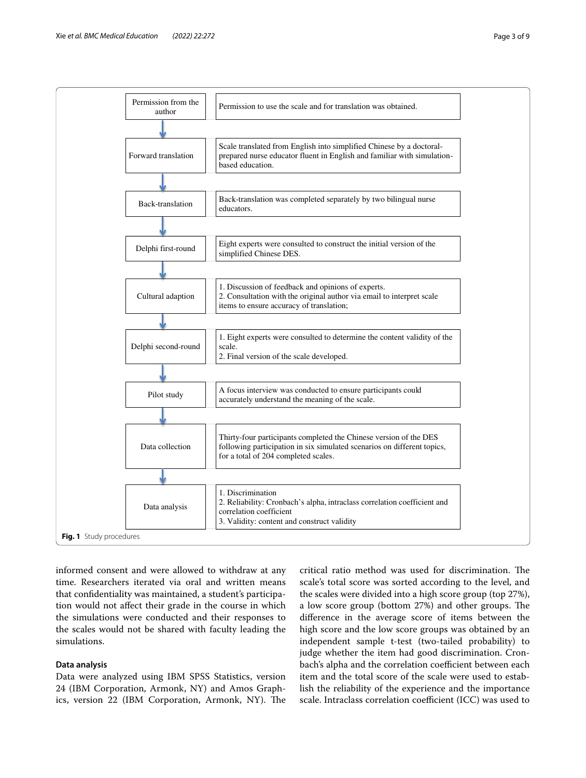

<span id="page-2-0"></span>informed consent and were allowed to withdraw at any time. Researchers iterated via oral and written means that confdentiality was maintained, a student's participation would not afect their grade in the course in which the simulations were conducted and their responses to the scales would not be shared with faculty leading the simulations.

## **Data analysis**

Data were analyzed using IBM SPSS Statistics, version 24 (IBM Corporation, Armonk, NY) and Amos Graphics, version 22 (IBM Corporation, Armonk, NY). The critical ratio method was used for discrimination. The scale's total score was sorted according to the level, and the scales were divided into a high score group (top 27%), a low score group (bottom 27%) and other groups. The diference in the average score of items between the high score and the low score groups was obtained by an independent sample t-test (two-tailed probability) to judge whether the item had good discrimination. Cronbach's alpha and the correlation coefficient between each item and the total score of the scale were used to establish the reliability of the experience and the importance scale. Intraclass correlation coefficient (ICC) was used to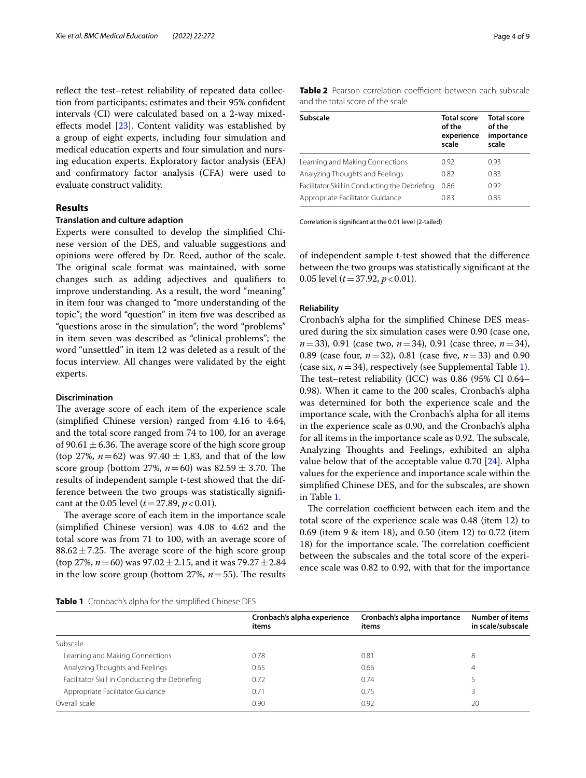reflect the test-retest reliability of repeated data collection from participants; estimates and their 95% confdent intervals (CI) were calculated based on a 2-way mixedefects model [\[23](#page-8-13)]. Content validity was established by a group of eight experts, including four simulation and medical education experts and four simulation and nursing education experts. Exploratory factor analysis (EFA) and confrmatory factor analysis (CFA) were used to evaluate construct validity.

## **Results**

#### **Translation and culture adaption**

Experts were consulted to develop the simplifed Chinese version of the DES, and valuable suggestions and opinions were ofered by Dr. Reed, author of the scale. The original scale format was maintained, with some changes such as adding adjectives and qualifers to improve understanding. As a result, the word "meaning" in item four was changed to "more understanding of the topic"; the word "question" in item fve was described as "questions arose in the simulation"; the word "problems" in item seven was described as "clinical problems"; the word "unsettled" in item 12 was deleted as a result of the focus interview. All changes were validated by the eight experts.

## **Discrimination**

The average score of each item of the experience scale (simplifed Chinese version) ranged from 4.16 to 4.64, and the total score ranged from 74 to 100, for an average of 90.61  $\pm$  6.36. The average score of the high score group (top 27%,  $n=62$ ) was 97.40  $\pm$  1.83, and that of the low score group (bottom 27%,  $n=60$ ) was 82.59  $\pm$  3.70. The results of independent sample t-test showed that the difference between the two groups was statistically signifcant at the 0.05 level  $(t=27.89, p<0.01)$ .

The average score of each item in the importance scale (simplifed Chinese version) was 4.08 to 4.62 and the total score was from 71 to 100, with an average score of  $88.62 \pm 7.25$ . The average score of the high score group (top 27%,  $n = 60$ ) was  $97.02 \pm 2.15$ , and it was  $79.27 \pm 2.84$ in the low score group (bottom 27%,  $n = 55$ ). The results

<span id="page-3-1"></span>**Table 2** Pearson correlation coefficient between each subscale and the total score of the scale

| <b>Subscale</b>                                | <b>Total score</b><br>of the<br>experience<br>scale | <b>Total score</b><br>of the<br>importance<br>scale |
|------------------------------------------------|-----------------------------------------------------|-----------------------------------------------------|
| Learning and Making Connections                | 0.92                                                | 0.93                                                |
| Analyzing Thoughts and Feelings                | 0.82                                                | 0.83                                                |
| Facilitator Skill in Conducting the Debriefing | 0.86                                                | 0.92                                                |
| Appropriate Facilitator Guidance               | 0.83                                                | 0.85                                                |

Correlation is signifcant at the 0.01 level (2-tailed)

of independent sample t-test showed that the diference between the two groups was statistically signifcant at the 0.05 level (*t*=37.92, *p*<0.01).

## **Reliability**

Cronbach's alpha for the simplifed Chinese DES measured during the six simulation cases were 0.90 (case one, *n*=33), 0.91 (case two, *n*=34), 0.91 (case three, *n*=34), 0.89 (case four,  $n=32$ ), 0.81 (case five,  $n=33$ ) and 0.90 (case six,  $n=34$ ), respectively (see Supplemental Table [1](#page-7-7)). The test–retest reliability (ICC) was  $0.86$  (95% CI  $0.64-$ 0.98). When it came to the 200 scales, Cronbach's alpha was determined for both the experience scale and the importance scale, with the Cronbach's alpha for all items in the experience scale as 0.90, and the Cronbach's alpha for all items in the importance scale as 0.92. The subscale, Analyzing Thoughts and Feelings, exhibited an alpha value below that of the acceptable value 0.70 [[24\]](#page-8-14). Alpha values for the experience and importance scale within the simplifed Chinese DES, and for the subscales, are shown in Table [1.](#page-3-0)

The correlation coefficient between each item and the total score of the experience scale was 0.48 (item 12) to 0.69 (item 9 & item 18), and 0.50 (item 12) to 0.72 (item 18) for the importance scale. The correlation coefficient between the subscales and the total score of the experience scale was 0.82 to 0.92, with that for the importance

<span id="page-3-0"></span>

| Table 1 Cronbach's alpha for the simplified Chinese DES |  |  |  |
|---------------------------------------------------------|--|--|--|
|---------------------------------------------------------|--|--|--|

|                                                | Cronbach's alpha experience<br>items | Cronbach's alpha importance<br>items | <b>Number of items</b><br>in scale/subscale |
|------------------------------------------------|--------------------------------------|--------------------------------------|---------------------------------------------|
| Subscale                                       |                                      |                                      |                                             |
| Learning and Making Connections                | 0.78                                 | 0.81                                 | 8                                           |
| Analyzing Thoughts and Feelings                | 0.65                                 | 0.66                                 | 4                                           |
| Facilitator Skill in Conducting the Debriefing | 0.72                                 | 0.74                                 |                                             |
| Appropriate Facilitator Guidance               | 0.71                                 | 0.75                                 |                                             |
| Overall scale                                  | 0.90                                 | 0.92                                 | 20                                          |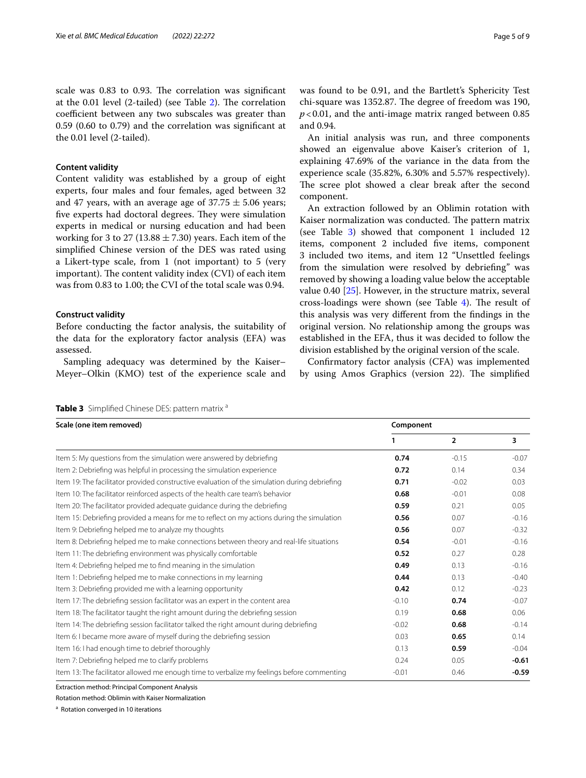scale was 0.83 to 0.93. The correlation was significant at the  $0.01$  level ([2](#page-3-1)-tailed) (see Table 2). The correlation coefficient between any two subscales was greater than 0.59 (0.60 to 0.79) and the correlation was signifcant at the 0.01 level (2-tailed).

## **Content validity**

Content validity was established by a group of eight experts, four males and four females, aged between 32 and 47 years, with an average age of  $37.75 \pm 5.06$  years; five experts had doctoral degrees. They were simulation experts in medical or nursing education and had been working for 3 to 27 (13.88  $\pm$  7.30) years. Each item of the simplifed Chinese version of the DES was rated using a Likert-type scale, from 1 (not important) to 5 (very important). The content validity index  $(CVI)$  of each item was from 0.83 to 1.00; the CVI of the total scale was 0.94.

#### **Construct validity**

Before conducting the factor analysis, the suitability of the data for the exploratory factor analysis (EFA) was assessed.

Sampling adequacy was determined by the Kaiser– Meyer–Olkin (KMO) test of the experience scale and was found to be 0.91, and the Bartlett's Sphericity Test chi-square was 1352.87. The degree of freedom was 190, *p*<0.01, and the anti-image matrix ranged between 0.85 and 0.94.

An initial analysis was run, and three components showed an eigenvalue above Kaiser's criterion of 1, explaining 47.69% of the variance in the data from the experience scale (35.82%, 6.30% and 5.57% respectively). The scree plot showed a clear break after the second component.

An extraction followed by an Oblimin rotation with Kaiser normalization was conducted. The pattern matrix (see Table [3\)](#page-4-0) showed that component 1 included 12 items, component 2 included fve items, component 3 included two items, and item 12 "Unsettled feelings from the simulation were resolved by debriefng" was removed by showing a loading value below the acceptable value 0.40 [[25\]](#page-8-15). However, in the structure matrix, several cross-loadings were shown (see Table  $4$ ). The result of this analysis was very diferent from the fndings in the original version. No relationship among the groups was established in the EFA, thus it was decided to follow the division established by the original version of the scale.

Confrmatory factor analysis (CFA) was implemented by using Amos Graphics (version 22). The simplified

<span id="page-4-0"></span>**Table 3** Simplified Chinese DES: pattern matrix a

| Scale (one item removed)                                                                      | Component |                |         |
|-----------------------------------------------------------------------------------------------|-----------|----------------|---------|
|                                                                                               |           | $\overline{2}$ | 3       |
| Item 5: My questions from the simulation were answered by debriefing                          | 0.74      | $-0.15$        | $-0.07$ |
| Item 2: Debriefing was helpful in processing the simulation experience                        | 0.72      | 0.14           | 0.34    |
| Item 19: The facilitator provided constructive evaluation of the simulation during debriefing | 0.71      | $-0.02$        | 0.03    |
| Item 10: The facilitator reinforced aspects of the health care team's behavior                | 0.68      | $-0.01$        | 0.08    |
| Item 20: The facilitator provided adequate quidance during the debriefing                     | 0.59      | 0.21           | 0.05    |
| Item 15: Debriefing provided a means for me to reflect on my actions during the simulation    | 0.56      | 0.07           | $-0.16$ |
| Item 9: Debriefing helped me to analyze my thoughts                                           | 0.56      | 0.07           | $-0.32$ |
| Item 8: Debriefing helped me to make connections between theory and real-life situations      | 0.54      | $-0.01$        | $-0.16$ |
| Item 11: The debriefing environment was physically comfortable                                | 0.52      | 0.27           | 0.28    |
| Item 4: Debriefing helped me to find meaning in the simulation                                | 0.49      | 0.13           | $-0.16$ |
| Item 1: Debriefing helped me to make connections in my learning                               | 0.44      | 0.13           | $-0.40$ |
| Item 3: Debriefing provided me with a learning opportunity                                    | 0.42      | 0.12           | $-0.23$ |
| Item 17: The debriefing session facilitator was an expert in the content area                 | $-0.10$   | 0.74           | $-0.07$ |
| Item 18: The facilitator taught the right amount during the debriefing session                | 0.19      | 0.68           | 0.06    |
| Item 14: The debriefing session facilitator talked the right amount during debriefing         | $-0.02$   | 0.68           | $-0.14$ |
| Item 6: I became more aware of myself during the debriefing session                           | 0.03      | 0.65           | 0.14    |
| Item 16: I had enough time to debrief thoroughly                                              | 0.13      | 0.59           | $-0.04$ |
| Item 7: Debriefing helped me to clarify problems                                              | 0.24      | 0.05           | $-0.61$ |
| Item 13: The facilitator allowed me enough time to verbalize my feelings before commenting    | $-0.01$   | 0.46           | $-0.59$ |

Extraction method: Principal Component Analysis

Rotation method: Oblimin with Kaiser Normalization

<sup>a</sup> Rotation converged in 10 iterations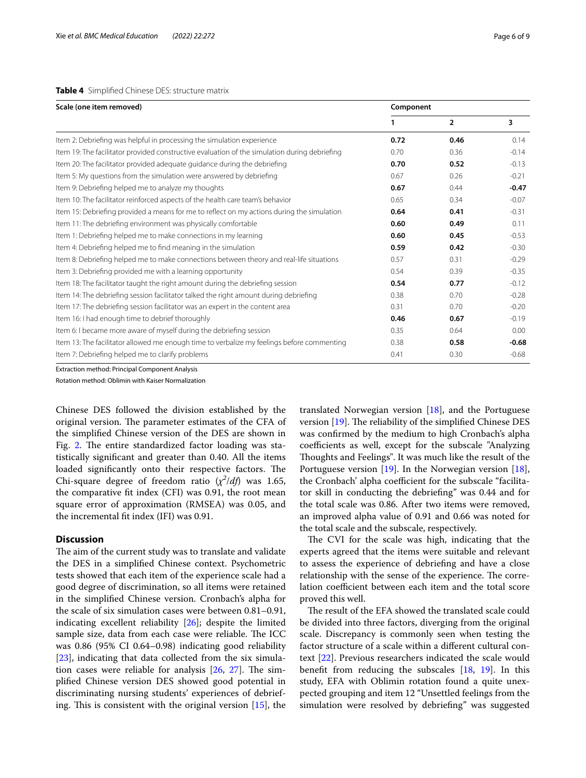#### <span id="page-5-0"></span>**Table 4** Simplifed Chinese DES: structure matrix

| Scale (one item removed)                                                                      | Component |                |                         |
|-----------------------------------------------------------------------------------------------|-----------|----------------|-------------------------|
|                                                                                               |           | $\overline{2}$ | $\overline{\mathbf{3}}$ |
| Item 2: Debriefing was helpful in processing the simulation experience                        | 0.72      | 0.46           | 0.14                    |
| Item 19: The facilitator provided constructive evaluation of the simulation during debriefing | 0.70      | 0.36           | $-0.14$                 |
| Item 20: The facilitator provided adequate quidance during the debriefing                     | 0.70      | 0.52           | $-0.13$                 |
| Item 5: My questions from the simulation were answered by debriefing                          | 0.67      | 0.26           | $-0.21$                 |
| Item 9: Debriefing helped me to analyze my thoughts                                           | 0.67      | 0.44           | $-0.47$                 |
| Item 10: The facilitator reinforced aspects of the health care team's behavior                | 0.65      | 0.34           | $-0.07$                 |
| Item 15: Debriefing provided a means for me to reflect on my actions during the simulation    | 0.64      | 0.41           | $-0.31$                 |
| Item 11: The debriefing environment was physically comfortable                                | 0.60      | 0.49           | 0.11                    |
| Item 1: Debriefing helped me to make connections in my learning                               | 0.60      | 0.45           | $-0.53$                 |
| Item 4: Debriefing helped me to find meaning in the simulation                                | 0.59      | 0.42           | $-0.30$                 |
| Item 8: Debriefing helped me to make connections between theory and real-life situations      | 0.57      | 0.31           | $-0.29$                 |
| Item 3: Debriefing provided me with a learning opportunity                                    | 0.54      | 0.39           | $-0.35$                 |
| Item 18: The facilitator taught the right amount during the debriefing session                | 0.54      | 0.77           | $-0.12$                 |
| Item 14: The debriefing session facilitator talked the right amount during debriefing         | 0.38      | 0.70           | $-0.28$                 |
| Item 17: The debriefing session facilitator was an expert in the content area                 | 0.31      | 0.70           | $-0.20$                 |
| Item 16: I had enough time to debrief thoroughly                                              | 0.46      | 0.67           | $-0.19$                 |
| Item 6: I became more aware of myself during the debriefing session                           | 0.35      | 0.64           | 0.00                    |
| Item 13: The facilitator allowed me enough time to verbalize my feelings before commenting    | 0.38      | 0.58           | $-0.68$                 |
| Item 7: Debriefing helped me to clarify problems                                              | 0.41      | 0.30           | $-0.68$                 |

Extraction method: Principal Component Analysis

Rotation method: Oblimin with Kaiser Normalization

Chinese DES followed the division established by the original version. The parameter estimates of the CFA of the simplifed Chinese version of the DES are shown in Fig. [2.](#page-6-0) The entire standardized factor loading was statistically signifcant and greater than 0.40. All the items loaded significantly onto their respective factors. The Chi-square degree of freedom ratio  $(\chi^2/df)$  was 1.65, the comparative ft index (CFI) was 0.91, the root mean square error of approximation (RMSEA) was 0.05, and the incremental ft index (IFI) was 0.91.

## **Discussion**

The aim of the current study was to translate and validate the DES in a simplifed Chinese context. Psychometric tests showed that each item of the experience scale had a good degree of discrimination, so all items were retained in the simplifed Chinese version. Cronbach's alpha for the scale of six simulation cases were between 0.81–0.91, indicating excellent reliability [[26](#page-8-16)]; despite the limited sample size, data from each case were reliable. The ICC was 0.86 (95% CI 0.64–0.98) indicating good reliability [[23\]](#page-8-13), indicating that data collected from the six simulation cases were reliable for analysis  $[26, 27]$  $[26, 27]$  $[26, 27]$  $[26, 27]$ . The simplifed Chinese version DES showed good potential in discriminating nursing students' experiences of debriefing. This is consistent with the original version  $[15]$ , the

translated Norwegian version [[18](#page-8-8)], and the Portuguese version  $[19]$ . The reliability of the simplified Chinese DES was confrmed by the medium to high Cronbach's alpha coefficients as well, except for the subscale "Analyzing Thoughts and Feelings". It was much like the result of the Portuguese version [\[19](#page-8-9)]. In the Norwegian version [\[18](#page-8-8)], the Cronbach' alpha coefficient for the subscale "facilitator skill in conducting the debriefng" was 0.44 and for the total scale was 0.86. After two items were removed, an improved alpha value of 0.91 and 0.66 was noted for the total scale and the subscale, respectively.

The CVI for the scale was high, indicating that the experts agreed that the items were suitable and relevant to assess the experience of debriefng and have a close relationship with the sense of the experience. The correlation coefficient between each item and the total score proved this well.

The result of the EFA showed the translated scale could be divided into three factors, diverging from the original scale. Discrepancy is commonly seen when testing the factor structure of a scale within a diferent cultural context [[22](#page-8-12)]. Previous researchers indicated the scale would beneft from reducing the subscales [[18,](#page-8-8) [19](#page-8-9)]. In this study, EFA with Oblimin rotation found a quite unexpected grouping and item 12 "Unsettled feelings from the simulation were resolved by debriefng" was suggested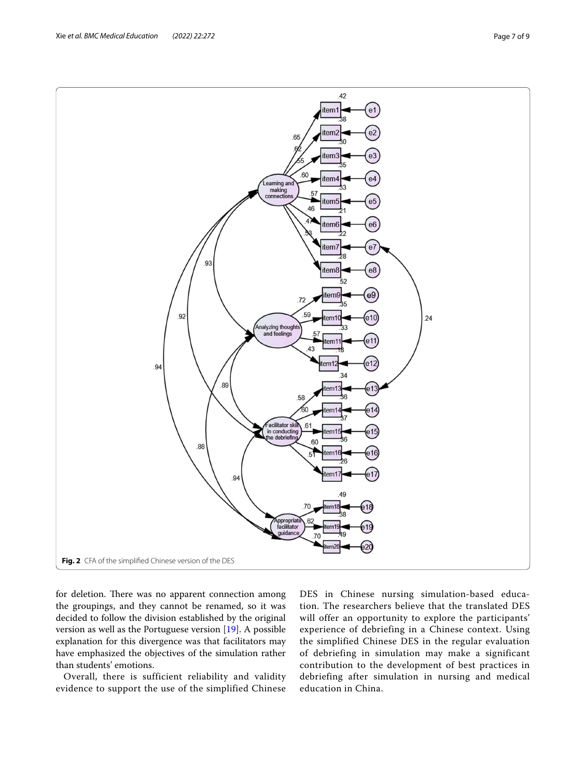<span id="page-6-0"></span>for deletion. There was no apparent connection among the groupings, and they cannot be renamed, so it was decided to follow the division established by the original version as well as the Portuguese version [\[19\]](#page-8-9). A possible explanation for this divergence was that facilitators may have emphasized the objectives of the simulation rather than students' emotions.

Overall, there is sufficient reliability and validity evidence to support the use of the simplified Chinese DES in Chinese nursing simulation-based education. The researchers believe that the translated DES will offer an opportunity to explore the participants' experience of debriefing in a Chinese context. Using the simplified Chinese DES in the regular evaluation of debriefing in simulation may make a significant contribution to the development of best practices in debriefing after simulation in nursing and medical education in China.

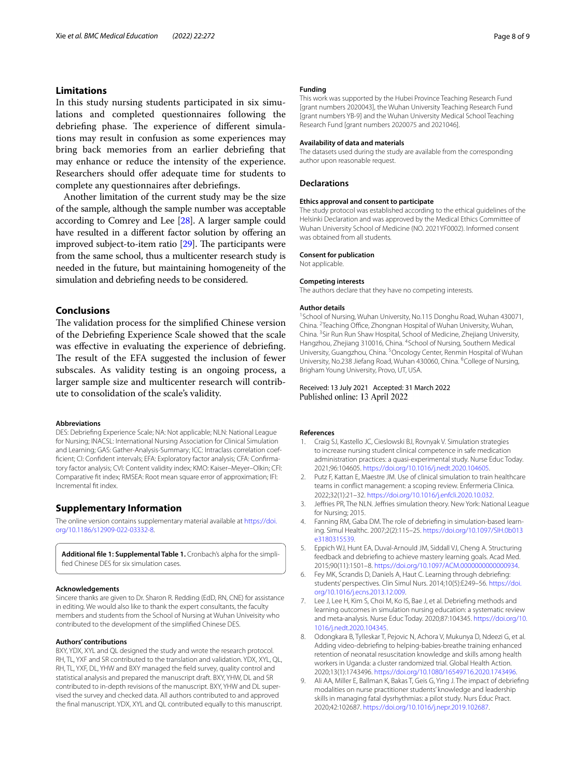## **Limitations**

In this study nursing students participated in six simulations and completed questionnaires following the debriefing phase. The experience of different simulations may result in confusion as some experiences may bring back memories from an earlier debriefng that may enhance or reduce the intensity of the experience. Researchers should offer adequate time for students to complete any questionnaires after debriefngs.

Another limitation of the current study may be the size of the sample, although the sample number was acceptable according to Comrey and Lee [[28](#page-8-18)]. A larger sample could have resulted in a different factor solution by offering an improved subject-to-item ratio  $[29]$  $[29]$  $[29]$ . The participants were from the same school, thus a multicenter research study is needed in the future, but maintaining homogeneity of the simulation and debriefng needs to be considered.

## **Conclusions**

The validation process for the simplified Chinese version of the Debriefng Experience Scale showed that the scale was effective in evaluating the experience of debriefing. The result of the EFA suggested the inclusion of fewer subscales. As validity testing is an ongoing process, a larger sample size and multicenter research will contribute to consolidation of the scale's validity.

#### **Abbreviations**

DES: Debriefng Experience Scale; NA: Not applicable; NLN: National League for Nursing; INACSL: International Nursing Association for Clinical Simulation and Learning; GAS: Gather-Analysis-Summary; ICC: Intraclass correlation coeffcient; CI: Confdent intervals; EFA: Exploratory factor analysis; CFA: Confrmatory factor analysis; CVI: Content validity index; KMO: Kaiser–Meyer–Olkin; CFI: Comparative ft index; RMSEA: Root mean square error of approximation; IFI: Incremental ft index.

## **Supplementary Information**

The online version contains supplementary material available at [https://doi.](https://doi.org/10.1186/s12909-022-03332-8) [org/10.1186/s12909-022-03332-8](https://doi.org/10.1186/s12909-022-03332-8).

<span id="page-7-7"></span>Additional file 1: Supplemental Table 1. Cronbach's alpha for the simplifed Chinese DES for six simulation cases.

#### **Acknowledgements**

Sincere thanks are given to Dr. Sharon R. Redding (EdD, RN, CNE) for assistance in editing. We would also like to thank the expert consultants, the faculty members and students from the School of Nursing at Wuhan Univeisity who contributed to the development of the simplifed Chinese DES.

#### **Authors' contributions**

BXY, YDX, XYL and QL designed the study and wrote the research protocol. RH, TL, YXF and SR contributed to the translation and validation. YDX, XYL, QL, RH, TL, YXF, DL, YHW and BXY managed the feld survey, quality control and statistical analysis and prepared the manuscript draft. BXY, YHW, DL and SR contributed to in-depth revisions of the manuscript. BXY, YHW and DL supervised the survey and checked data. All authors contributed to and approved the fnal manuscript. YDX, XYL and QL contributed equally to this manuscript.

#### **Funding**

This work was supported by the Hubei Province Teaching Research Fund [grant numbers 2020043], the Wuhan University Teaching Research Fund [grant numbers YB-9] and the Wuhan University Medical School Teaching Research Fund [grant numbers 2020075 and 2021046].

#### **Availability of data and materials**

The datasets used during the study are available from the corresponding author upon reasonable request.

#### **Declarations**

## **Ethics approval and consent to participate**

The study protocol was established according to the ethical guidelines of the Helsinki Declaration and was approved by the Medical Ethics Committee of Wuhan University School of Medicine (NO. 2021YF0002). Informed consent was obtained from all students.

#### **Consent for publication**

Not applicable.

#### **Competing interests**

The authors declare that they have no competing interests.

#### **Author details**

<sup>1</sup> School of Nursing, Wuhan University, No.115 Donghu Road, Wuhan 430071, China. <sup>2</sup> Teaching Office, Zhongnan Hospital of Wuhan University, Wuhan, China. <sup>3</sup> Sir Run Run Shaw Hospital, School of Medicine, Zhejiang University, Hangzhou, Zhejiang 310016, China. <sup>4</sup>School of Nursing, Southern Medical University, Guangzhou, China. <sup>5</sup> Oncology Center, Renmin Hospital of Wuhan University, No.238 Jiefang Road, Wuhan 430060, China. <sup>6</sup>College of Nursing, Brigham Young University, Provo, UT, USA.

#### Received: 13 July 2021 Accepted: 31 March 2022 Published online: 13 April 2022

#### **References**

- <span id="page-7-0"></span>1. Craig SJ, Kastello JC, Cieslowski BJ, Rovnyak V. Simulation strategies to increase nursing student clinical competence in safe medication administration practices: a quasi-experimental study. Nurse Educ Today. 2021;96:104605.<https://doi.org/10.1016/j.nedt.2020.104605>.
- <span id="page-7-1"></span>2. Putz F, Kattan E, Maestre JM. Use of clinical simulation to train healthcare teams in confict management: a scoping review. Enfermeria Clinica. 2022;32(1):21–32. [https://doi.org/10.1016/j.enfcli.2020.10.032.](https://doi.org/10.1016/j.enfcli.2020.10.032)
- <span id="page-7-2"></span>3. Jefries PR, The NLN. Jefries simulation theory. New York: National League for Nursing; 2015.
- <span id="page-7-3"></span>4. Fanning RM, Gaba DM. The role of debriefng in simulation-based learning. Simul Healthc. 2007;2(2):115–25. [https://doi.org/10.1097/SIH.0b013](https://doi.org/10.1097/SIH.0b013e3180315539) [e3180315539.](https://doi.org/10.1097/SIH.0b013e3180315539)
- <span id="page-7-4"></span>5. Eppich WJ, Hunt EA, Duval-Arnould JM, Siddall VJ, Cheng A. Structuring feedback and debriefng to achieve mastery learning goals. Acad Med. 2015;90(11):1501–8. [https://doi.org/10.1097/ACM.0000000000000934.](https://doi.org/10.1097/ACM.0000000000000934)
- <span id="page-7-5"></span>6. Fey MK, Scrandis D, Daniels A, Haut C. Learning through debriefng: students' perspectives. Clin Simul Nurs. 2014;10(5):E249–56. [https://doi.](https://doi.org/10.1016/j.ecns.2013.12.009) [org/10.1016/j.ecns.2013.12.009.](https://doi.org/10.1016/j.ecns.2013.12.009)
- <span id="page-7-6"></span>7. Lee J, Lee H, Kim S, Choi M, Ko IS, Bae J, et al. Debriefng methods and learning outcomes in simulation nursing education: a systematic review and meta-analysis. Nurse Educ Today. 2020;87:104345. [https://doi.org/10.](https://doi.org/10.1016/j.nedt.2020.104345) [1016/j.nedt.2020.104345](https://doi.org/10.1016/j.nedt.2020.104345).
- 8. Odongkara B, Tylleskar T, Pejovic N, Achora V, Mukunya D, Ndeezi G, et al. Adding video-debriefng to helping-babies-breathe training enhanced retention of neonatal resuscitation knowledge and skills among health workers in Uganda: a cluster randomized trial. Global Health Action. 2020;13(1):1743496.<https://doi.org/10.1080/16549716.2020.1743496>.
- 9. Ali AA, Miller E, Ballman K, Bakas T, Geis G, Ying J. The impact of debriefng modalities on nurse practitioner students' knowledge and leadership skills in managing fatal dysrhythmias: a pilot study. Nurs Educ Pract. 2020;42:102687. [https://doi.org/10.1016/j.nepr.2019.102687.](https://doi.org/10.1016/j.nepr.2019.102687)